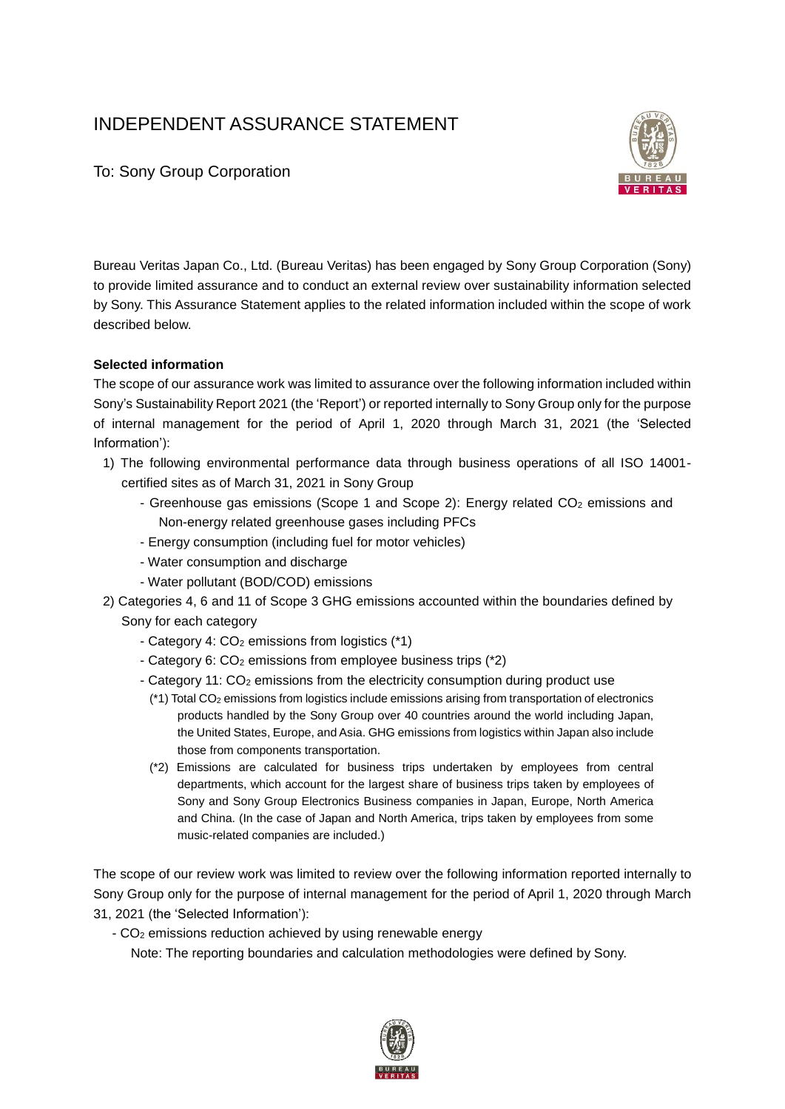# INDEPENDENT ASSURANCE STATEMENT



To: Sony Group Corporation

Bureau Veritas Japan Co., Ltd. (Bureau Veritas) has been engaged by Sony Group Corporation (Sony) to provide limited assurance and to conduct an external review over sustainability information selected by Sony. This Assurance Statement applies to the related information included within the scope of work described below.

## **Selected information**

The scope of our assurance work was limited to assurance over the following information included within Sony's Sustainability Report 2021 (the 'Report') or reported internally to Sony Group only for the purpose of internal management for the period of April 1, 2020 through March 31, 2021 (the 'Selected Information'):

- 1) The following environmental performance data through business operations of all ISO 14001 certified sites as of March 31, 2021 in Sony Group
	- Greenhouse gas emissions (Scope 1 and Scope 2): Energy related CO<sub>2</sub> emissions and Non-energy related greenhouse gases including PFCs
	- Energy consumption (including fuel for motor vehicles)
	- Water consumption and discharge
	- Water pollutant (BOD/COD) emissions
- 2) Categories 4, 6 and 11 of Scope 3 GHG emissions accounted within the boundaries defined by Sony for each category
	- Category 4: CO<sub>2</sub> emissions from logistics (\*1)
	- Category 6: CO<sub>2</sub> emissions from employee business trips (\*2)
	- Category 11: CO<sub>2</sub> emissions from the electricity consumption during product use
		- (\*1) Total CO<sup>2</sup> emissions from logistics include emissions arising from transportation of electronics products handled by the Sony Group over 40 countries around the world including Japan, the United States, Europe, and Asia. GHG emissions from logistics within Japan also include those from components transportation.
		- (\*2) Emissions are calculated for business trips undertaken by employees from central departments, which account for the largest share of business trips taken by employees of Sony and Sony Group Electronics Business companies in Japan, Europe, North America and China. (In the case of Japan and North America, trips taken by employees from some music-related companies are included.)

The scope of our review work was limited to review over the following information reported internally to Sony Group only for the purpose of internal management for the period of April 1, 2020 through March 31, 2021 (the 'Selected Information'):

- CO<sup>2</sup> emissions reduction achieved by using renewable energy

Note: The reporting boundaries and calculation methodologies were defined by Sony.

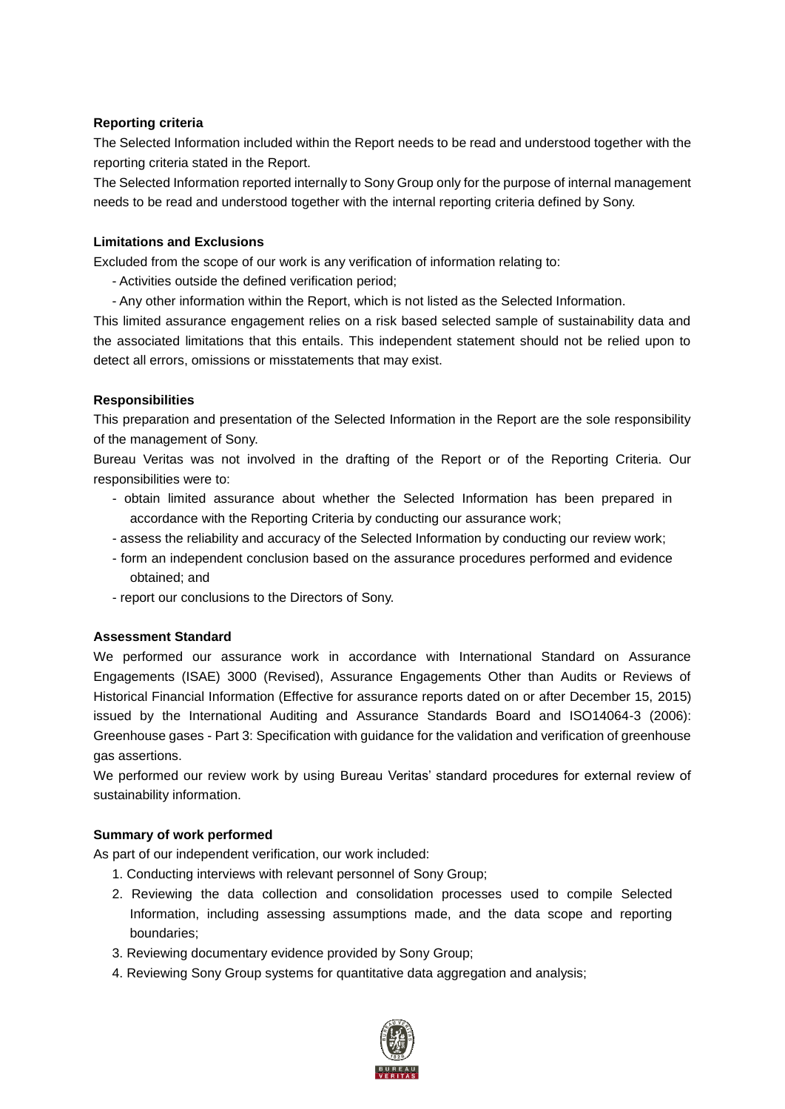#### **Reporting criteria**

The Selected Information included within the Report needs to be read and understood together with the reporting criteria stated in the Report.

The Selected Information reported internally to Sony Group only for the purpose of internal management needs to be read and understood together with the internal reporting criteria defined by Sony.

## **Limitations and Exclusions**

Excluded from the scope of our work is any verification of information relating to:

- Activities outside the defined verification period;
- Any other information within the Report, which is not listed as the Selected Information.

This limited assurance engagement relies on a risk based selected sample of sustainability data and the associated limitations that this entails. This independent statement should not be relied upon to detect all errors, omissions or misstatements that may exist.

#### **Responsibilities**

This preparation and presentation of the Selected Information in the Report are the sole responsibility of the management of Sony.

Bureau Veritas was not involved in the drafting of the Report or of the Reporting Criteria. Our responsibilities were to:

- obtain limited assurance about whether the Selected Information has been prepared in accordance with the Reporting Criteria by conducting our assurance work;
- assess the reliability and accuracy of the Selected Information by conducting our review work;
- form an independent conclusion based on the assurance procedures performed and evidence obtained; and
- report our conclusions to the Directors of Sony.

#### **Assessment Standard**

We performed our assurance work in accordance with International Standard on Assurance Engagements (ISAE) 3000 (Revised), Assurance Engagements Other than Audits or Reviews of Historical Financial Information (Effective for assurance reports dated on or after December 15, 2015) issued by the International Auditing and Assurance Standards Board and ISO14064-3 (2006): Greenhouse gases - Part 3: Specification with guidance for the validation and verification of greenhouse gas assertions.

We performed our review work by using Bureau Veritas' standard procedures for external review of sustainability information.

#### **Summary of work performed**

As part of our independent verification, our work included:

- 1. Conducting interviews with relevant personnel of Sony Group;
- 2. Reviewing the data collection and consolidation processes used to compile Selected Information, including assessing assumptions made, and the data scope and reporting boundaries;
- 3. Reviewing documentary evidence provided by Sony Group;
- 4. Reviewing Sony Group systems for quantitative data aggregation and analysis;

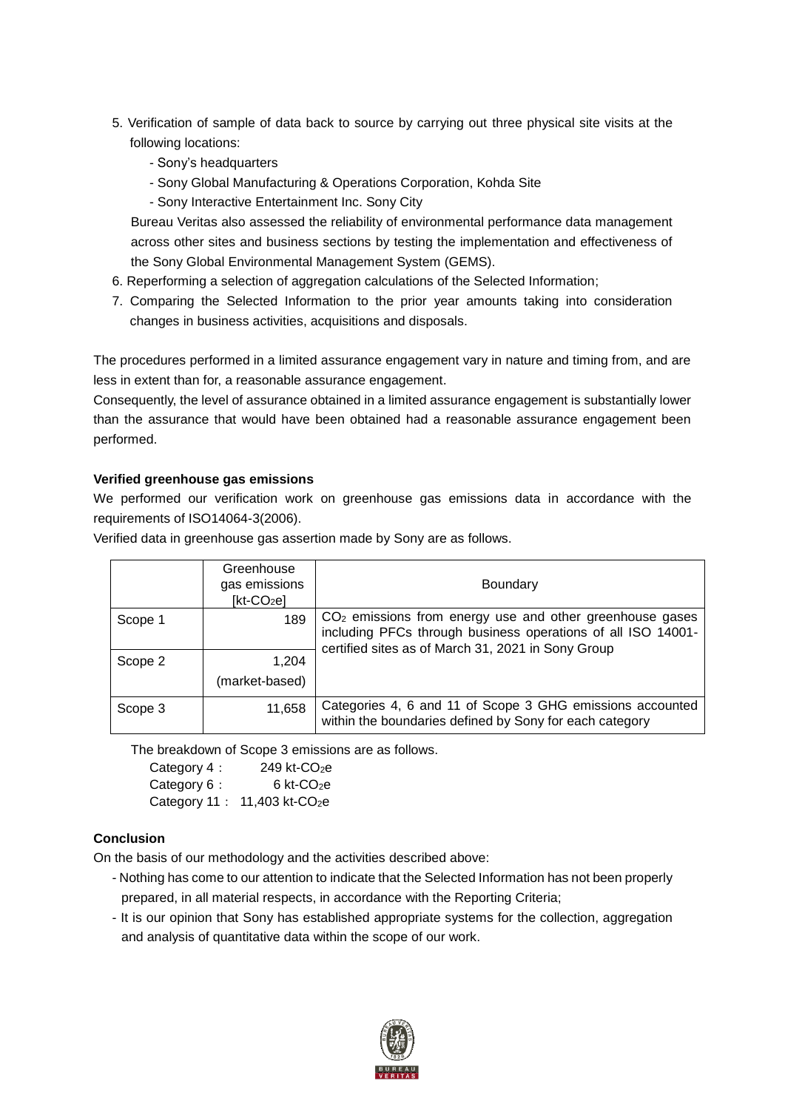- 5. Verification of sample of data back to source by carrying out three physical site visits at the following locations:
	- Sony's headquarters
	- Sony Global Manufacturing & Operations Corporation, Kohda Site
	- Sony Interactive Entertainment Inc. Sony City

Bureau Veritas also assessed the reliability of environmental performance data management across other sites and business sections by testing the implementation and effectiveness of the Sony Global Environmental Management System (GEMS).

- 6. Reperforming a selection of aggregation calculations of the Selected Information;
- 7. Comparing the Selected Information to the prior year amounts taking into consideration changes in business activities, acquisitions and disposals.

The procedures performed in a limited assurance engagement vary in nature and timing from, and are less in extent than for, a reasonable assurance engagement.

Consequently, the level of assurance obtained in a limited assurance engagement is substantially lower than the assurance that would have been obtained had a reasonable assurance engagement been performed.

# **Verified greenhouse gas emissions**

We performed our verification work on greenhouse gas emissions data in accordance with the requirements of ISO14064-3(2006).

Verified data in greenhouse gas assertion made by Sony are as follows.

|         | Greenhouse<br>gas emissions<br>$[kt-CO2e]$ | <b>Boundary</b>                                                                                                                                                                  |
|---------|--------------------------------------------|----------------------------------------------------------------------------------------------------------------------------------------------------------------------------------|
| Scope 1 | 189                                        | $CO2$ emissions from energy use and other greenhouse gases<br>including PFCs through business operations of all ISO 14001-<br>certified sites as of March 31, 2021 in Sony Group |
| Scope 2 | 1,204                                      |                                                                                                                                                                                  |
|         | (market-based)                             |                                                                                                                                                                                  |
| Scope 3 | 11,658                                     | Categories 4, 6 and 11 of Scope 3 GHG emissions accounted<br>within the boundaries defined by Sony for each category                                                             |

The breakdown of Scope 3 emissions are as follows.

Category 4: 249 kt-CO<sub>2</sub>e Category  $6: 6$  kt-CO<sub>2</sub>e Category 11: 11,403 kt-CO<sub>2</sub>e

# **Conclusion**

On the basis of our methodology and the activities described above:

- Nothing has come to our attention to indicate that the Selected Information has not been properly prepared, in all material respects, in accordance with the Reporting Criteria;
- It is our opinion that Sony has established appropriate systems for the collection, aggregation and analysis of quantitative data within the scope of our work.